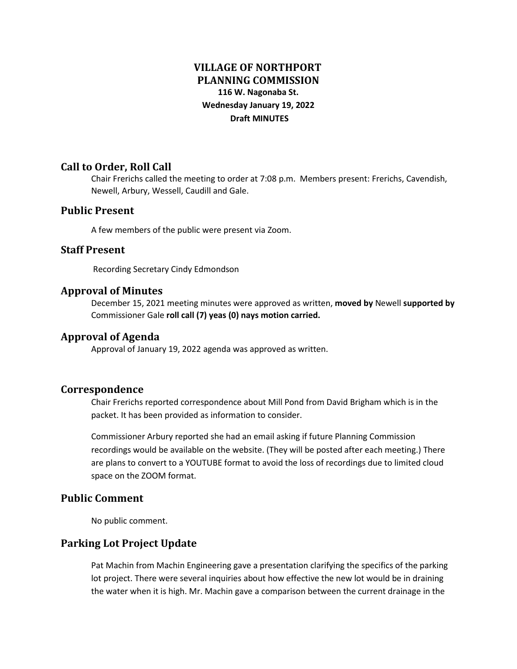# **VILLAGE OF NORTHPORT PLANNING COMMISSION 116 W. Nagonaba St. Wednesday January 19, 2022 Draft MINUTES**

### **Call to Order, Roll Call**

Chair Frerichs called the meeting to order at 7:08 p.m. Members present: Frerichs, Cavendish, Newell, Arbury, Wessell, Caudill and Gale.

### **Public Present**

A few members of the public were present via Zoom.

### **Staff Present**

Recording Secretary Cindy Edmondson

### **Approval of Minutes**

December 15, 2021 meeting minutes were approved as written, **moved by** Newell **supported by** Commissioner Gale **roll call (7) yeas (0) nays motion carried.**

### **Approval of Agenda**

Approval of January 19, 2022 agenda was approved as written.

### **Correspondence**

Chair Frerichs reported correspondence about Mill Pond from David Brigham which is in the packet. It has been provided as information to consider.

Commissioner Arbury reported she had an email asking if future Planning Commission recordings would be available on the website. (They will be posted after each meeting.) There are plans to convert to a YOUTUBE format to avoid the loss of recordings due to limited cloud space on the ZOOM format.

### **Public Comment**

No public comment.

### **Parking Lot Project Update**

Pat Machin from Machin Engineering gave a presentation clarifying the specifics of the parking lot project. There were several inquiries about how effective the new lot would be in draining the water when it is high. Mr. Machin gave a comparison between the current drainage in the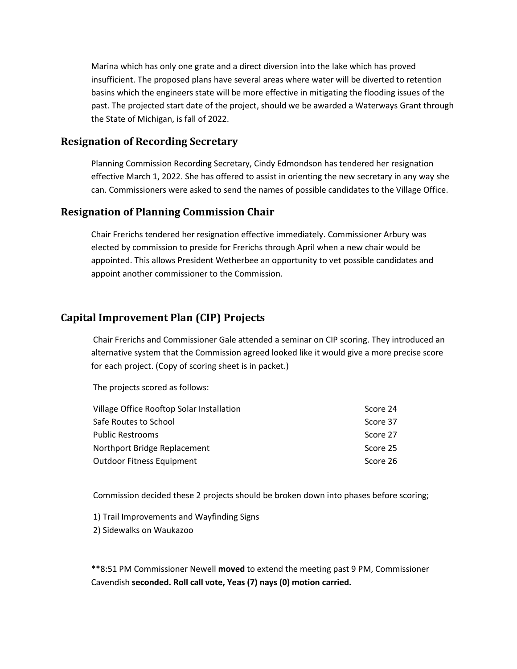Marina which has only one grate and a direct diversion into the lake which has proved insufficient. The proposed plans have several areas where water will be diverted to retention basins which the engineers state will be more effective in mitigating the flooding issues of the past. The projected start date of the project, should we be awarded a Waterways Grant through the State of Michigan, is fall of 2022.

### **Resignation of Recording Secretary**

Planning Commission Recording Secretary, Cindy Edmondson has tendered her resignation effective March 1, 2022. She has offered to assist in orienting the new secretary in any way she can. Commissioners were asked to send the names of possible candidates to the Village Office.

## **Resignation of Planning Commission Chair**

Chair Frerichs tendered her resignation effective immediately. Commissioner Arbury was elected by commission to preside for Frerichs through April when a new chair would be appointed. This allows President Wetherbee an opportunity to vet possible candidates and appoint another commissioner to the Commission.

# **Capital Improvement Plan (CIP) Projects**

Chair Frerichs and Commissioner Gale attended a seminar on CIP scoring. They introduced an alternative system that the Commission agreed looked like it would give a more precise score for each project. (Copy of scoring sheet is in packet.)

The projects scored as follows:

| Score 24 |
|----------|
| Score 37 |
| Score 27 |
| Score 25 |
| Score 26 |
|          |

Commission decided these 2 projects should be broken down into phases before scoring;

1) Trail Improvements and Wayfinding Signs 2) Sidewalks on Waukazoo

\*\*8:51 PM Commissioner Newell **moved** to extend the meeting past 9 PM, Commissioner Cavendish **seconded. Roll call vote, Yeas (7) nays (0) motion carried.**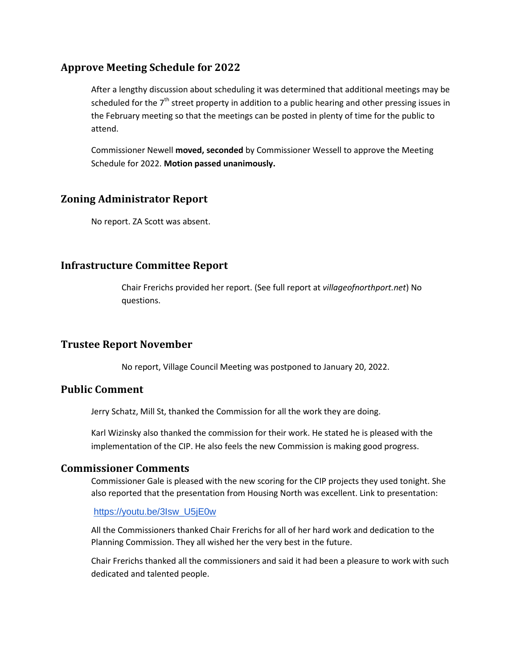### **Approve Meeting Schedule for 2022**

After a lengthy discussion about scheduling it was determined that additional meetings may be scheduled for the  $7<sup>th</sup>$  street property in addition to a public hearing and other pressing issues in the February meeting so that the meetings can be posted in plenty of time for the public to attend.

Commissioner Newell **moved, seconded** by Commissioner Wessell to approve the Meeting Schedule for 2022. **Motion passed unanimously.**

### **Zoning Administrator Report**

No report. ZA Scott was absent.

### **Infrastructure Committee Report**

Chair Frerichs provided her report. (See full report at *villageofnorthport.net*) No questions.

### **Trustee Report November**

No report, Village Council Meeting was postponed to January 20, 2022.

### **Public Comment**

Jerry Schatz, Mill St, thanked the Commission for all the work they are doing.

Karl Wizinsky also thanked the commission for their work. He stated he is pleased with the implementation of the CIP. He also feels the new Commission is making good progress.

### **Commissioner Comments**

Commissioner Gale is pleased with the new scoring for the CIP projects they used tonight. She also reported that the presentation from Housing North was excellent. Link to presentation:

#### [https://youtu.be/3Isw\\_U5jE0w](https://youtu.be/3Isw_U5jE0w)

All the Commissioners thanked Chair Frerichs for all of her hard work and dedication to the Planning Commission. They all wished her the very best in the future.

Chair Frerichs thanked all the commissioners and said it had been a pleasure to work with such dedicated and talented people.